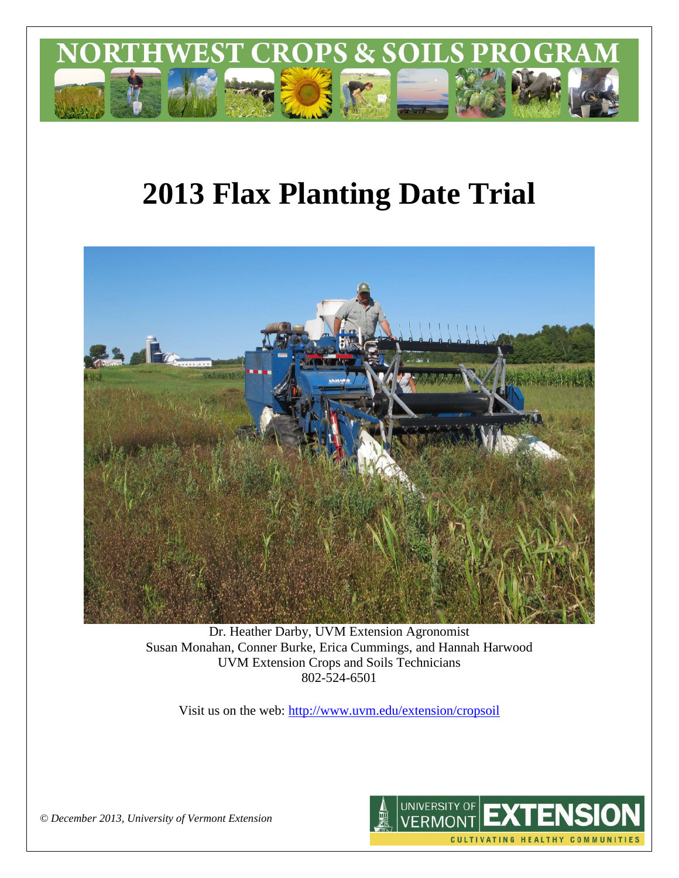

# **2013 Flax Planting Date Trial**



Dr. Heather Darby, UVM Extension Agronomist Susan Monahan, Conner Burke, Erica Cummings, and Hannah Harwood UVM Extension Crops and Soils Technicians 802-524-6501

Visit us on the web: <http://www.uvm.edu/extension/cropsoil>



*© December 2013, University of Vermont Extension*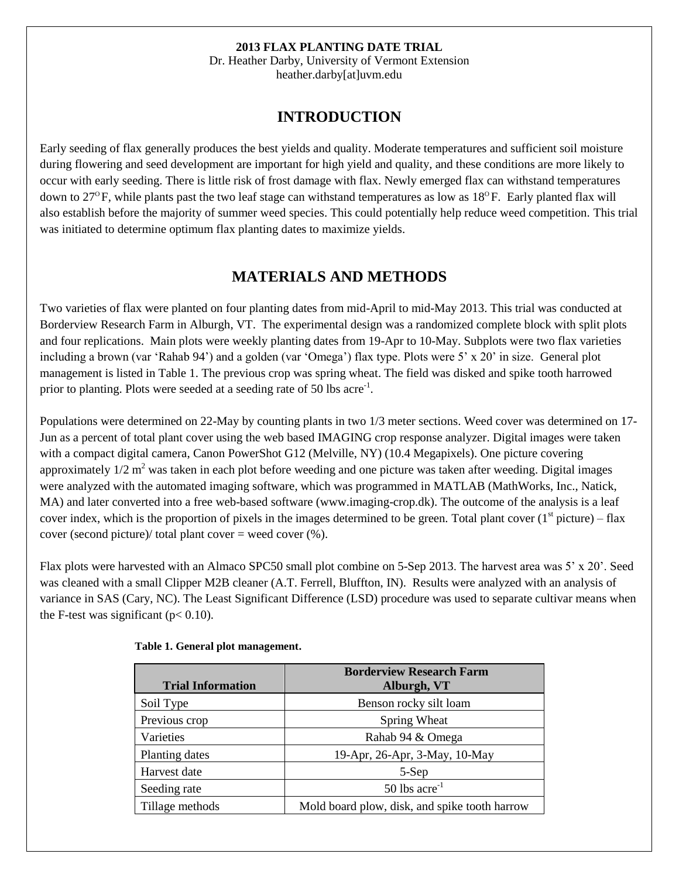#### **2013 FLAX PLANTING DATE TRIAL**

Dr. Heather Darby, University of Vermont Extension heather.darby[at]uvm.edu

## **INTRODUCTION**

Early seeding of flax generally produces the best yields and quality. Moderate temperatures and sufficient soil moisture during flowering and seed development are important for high yield and quality, and these conditions are more likely to occur with early seeding. There is little risk of frost damage with flax. Newly emerged flax can withstand temperatures down to  $27^{\circ}$  F, while plants past the two leaf stage can withstand temperatures as low as  $18^{\circ}$  F. Early planted flax will also establish before the majority of summer weed species. This could potentially help reduce weed competition. This trial was initiated to determine optimum flax planting dates to maximize yields.

## **MATERIALS AND METHODS**

Two varieties of flax were planted on four planting dates from mid-April to mid-May 2013. This trial was conducted at Borderview Research Farm in Alburgh, VT. The experimental design was a randomized complete block with split plots and four replications. Main plots were weekly planting dates from 19-Apr to 10-May. Subplots were two flax varieties including a brown (var 'Rahab 94') and a golden (var 'Omega') flax type. Plots were 5' x 20' in size. General plot management is listed in Table 1. The previous crop was spring wheat. The field was disked and spike tooth harrowed prior to planting. Plots were seeded at a seeding rate of 50 lbs  $\arccos 1$ .

Populations were determined on 22-May by counting plants in two 1/3 meter sections. Weed cover was determined on 17- Jun as a percent of total plant cover using the web based IMAGING crop response analyzer. Digital images were taken with a compact digital camera, Canon PowerShot G12 (Melville, NY) (10.4 Megapixels). One picture covering approximately  $1/2$  m<sup>2</sup> was taken in each plot before weeding and one picture was taken after weeding. Digital images were analyzed with the automated imaging software, which was programmed in MATLAB (MathWorks, Inc., Natick, MA) and later converted into a free web-based software (www.imaging-crop.dk). The outcome of the analysis is a leaf cover index, which is the proportion of pixels in the images determined to be green. Total plant cover  $(1<sup>st</sup>$  picture) – flax cover (second picture)/ total plant cover  $=$  weed cover  $(\%)$ .

Flax plots were harvested with an Almaco SPC50 small plot combine on 5-Sep 2013. The harvest area was 5' x 20'. Seed was cleaned with a small Clipper M2B cleaner (A.T. Ferrell, Bluffton, IN). Results were analyzed with an analysis of variance in SAS (Cary, NC). The Least Significant Difference (LSD) procedure was used to separate cultivar means when the F-test was significant ( $p < 0.10$ ).

| <b>Trial Information</b> | <b>Borderview Research Farm</b><br>Alburgh, VT |  |
|--------------------------|------------------------------------------------|--|
| Soil Type                | Benson rocky silt loam                         |  |
| Previous crop            | Spring Wheat                                   |  |
| Varieties                | Rahab 94 & Omega                               |  |
| Planting dates           | 19-Apr, 26-Apr, 3-May, 10-May                  |  |
| Harvest date             | 5-Sep                                          |  |
| Seeding rate             | 50 lbs $\arccos 50$                            |  |
| Tillage methods          | Mold board plow, disk, and spike tooth harrow  |  |

#### **Table 1. General plot management.**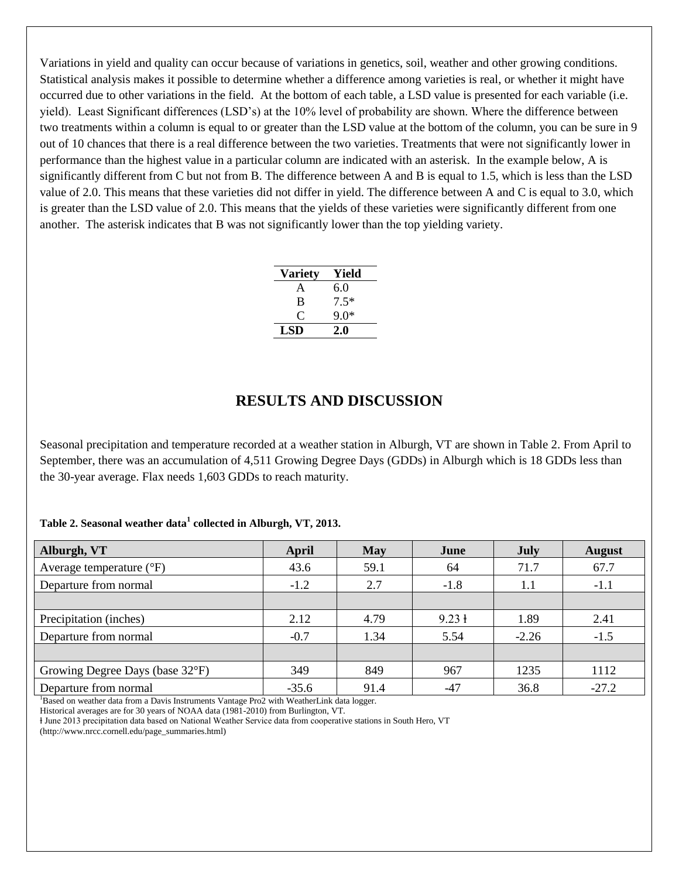Variations in yield and quality can occur because of variations in genetics, soil, weather and other growing conditions. Statistical analysis makes it possible to determine whether a difference among varieties is real, or whether it might have occurred due to other variations in the field. At the bottom of each table, a LSD value is presented for each variable (i.e. yield). Least Significant differences (LSD's) at the 10% level of probability are shown. Where the difference between two treatments within a column is equal to or greater than the LSD value at the bottom of the column, you can be sure in 9 out of 10 chances that there is a real difference between the two varieties. Treatments that were not significantly lower in performance than the highest value in a particular column are indicated with an asterisk. In the example below, A is significantly different from C but not from B. The difference between A and B is equal to 1.5, which is less than the LSD value of 2.0. This means that these varieties did not differ in yield. The difference between A and C is equal to 3.0, which is greater than the LSD value of 2.0. This means that the yields of these varieties were significantly different from one another. The asterisk indicates that B was not significantly lower than the top yielding variety.

| <b>Variety</b> | Yield  |
|----------------|--------|
| A              | 6.0    |
| B              | $7.5*$ |
| 0              | 9.0*   |
| LSD            | 2.0    |

## **RESULTS AND DISCUSSION**

Seasonal precipitation and temperature recorded at a weather station in Alburgh, VT are shown in Table 2. From April to September, there was an accumulation of 4,511 Growing Degree Days (GDDs) in Alburgh which is 18 GDDs less than the 30-year average. Flax needs 1,603 GDDs to reach maturity.

### **Table 2. Seasonal weather data<sup>1</sup> collected in Alburgh, VT, 2013.**

| Alburgh, VT                       | April   | May  | June              | July    | <b>August</b> |
|-----------------------------------|---------|------|-------------------|---------|---------------|
| Average temperature $(^{\circ}F)$ | 43.6    | 59.1 | 64                | 71.7    | 67.7          |
| Departure from normal             | $-1.2$  | 2.7  | $-1.8$            | 1.1     | $-1.1$        |
|                                   |         |      |                   |         |               |
| Precipitation (inches)            | 2.12    | 4.79 | $9.23 \text{ }$ 1 | 1.89    | 2.41          |
| Departure from normal             | $-0.7$  | 1.34 | 5.54              | $-2.26$ | $-1.5$        |
|                                   |         |      |                   |         |               |
| Growing Degree Days (base 32°F)   | 349     | 849  | 967               | 1235    | 1112          |
| Departure from normal             | $-35.6$ | 91.4 | $-47$             | 36.8    | $-27.2$       |

<sup>1</sup>Based on weather data from a Davis Instruments Vantage Pro2 with WeatherLink data logger.

Historical averages are for 30 years of NOAA data (1981-2010) from Burlington, VT.

ⱡ June 2013 precipitation data based on National Weather Service data from cooperative stations in South Hero, VT

(http://www.nrcc.cornell.edu/page\_summaries.html)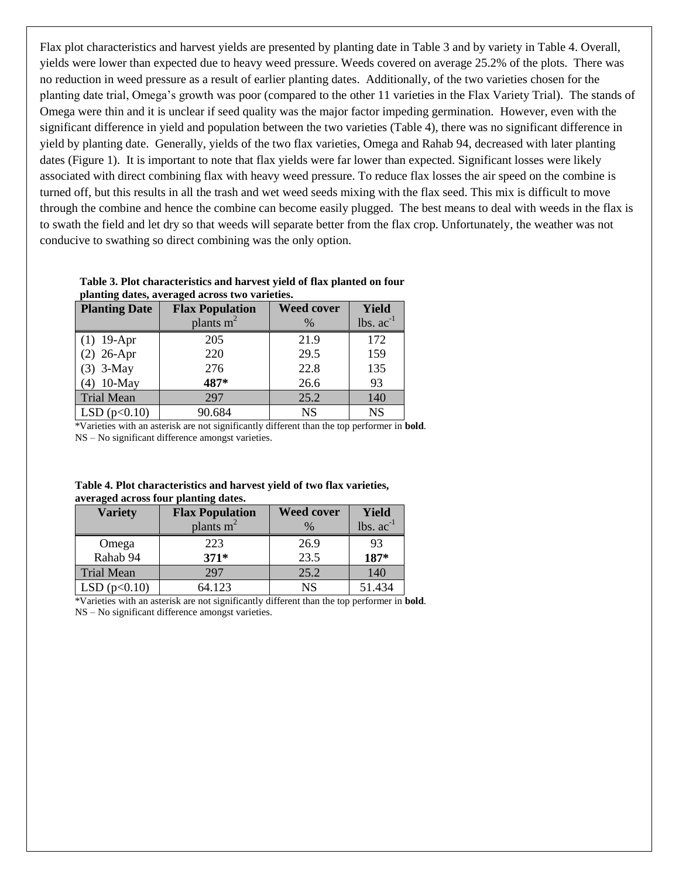Flax plot characteristics and harvest yields are presented by planting date in Table 3 and by variety in Table 4. Overall, yields were lower than expected due to heavy weed pressure. Weeds covered on average 25.2% of the plots. There was no reduction in weed pressure as a result of earlier planting dates. Additionally, of the two varieties chosen for the planting date trial, Omega's growth was poor (compared to the other 11 varieties in the Flax Variety Trial). The stands of Omega were thin and it is unclear if seed quality was the major factor impeding germination. However, even with the significant difference in yield and population between the two varieties (Table 4), there was no significant difference in yield by planting date. Generally, yields of the two flax varieties, Omega and Rahab 94, decreased with later planting dates (Figure 1). It is important to note that flax yields were far lower than expected. Significant losses were likely associated with direct combining flax with heavy weed pressure. To reduce flax losses the air speed on the combine is turned off, but this results in all the trash and wet weed seeds mixing with the flax seed. This mix is difficult to move through the combine and hence the combine can become easily plugged. The best means to deal with weeds in the flax is to swath the field and let dry so that weeds will separate better from the flax crop. Unfortunately, the weather was not conducive to swathing so direct combining was the only option.

#### **Table 3. Plot characteristics and harvest yield of flax planted on four planting dates, averaged across two varieties.**

| <b>Planting Date</b> | <b>Flax Population</b> | <b>Weed cover</b> | <b>Yield</b>   |
|----------------------|------------------------|-------------------|----------------|
|                      | plants $m2$            | $\%$              | lbs. $ac^{-1}$ |
| $(1)$ 19-Apr         | 205                    | 21.9              | 172            |
| $(2)$ 26-Apr         | 220                    | 29.5              | 159            |
| $(3)$ 3-May          | 276                    | 22.8              | 135            |
| $(4)$ 10-May         | 487*                   | 26.6              | 93             |
| <b>Trial Mean</b>    | 297                    | 25.2              | 140            |
| LSD(p<0.10)          | 90.684                 | <b>NS</b>         | <b>NS</b>      |

\*Varieties with an asterisk are not significantly different than the top performer in **bold**. NS – No significant difference amongst varieties.

|                                      | Table 4. Plot characteristics and harvest yield of two flax varieties, |
|--------------------------------------|------------------------------------------------------------------------|
| averaged across four planting dates. |                                                                        |

| <b>Variety</b> | <b>Flax Population</b> | <b>Weed cover</b> | <b>Yield</b>   |
|----------------|------------------------|-------------------|----------------|
|                | plants $m2$            |                   | lbs. $ac^{-1}$ |
| Omega          | 223                    | 26.9              | 93             |
| Rahab 94       | $371*$                 | 23.5              | 187*           |
| Trial Mean     | 297                    | 25.2              | 140            |
| LSD $(p<0.10)$ | 64.123                 | NS                | 51.434         |

\*Varieties with an asterisk are not significantly different than the top performer in **bold**. NS – No significant difference amongst varieties.